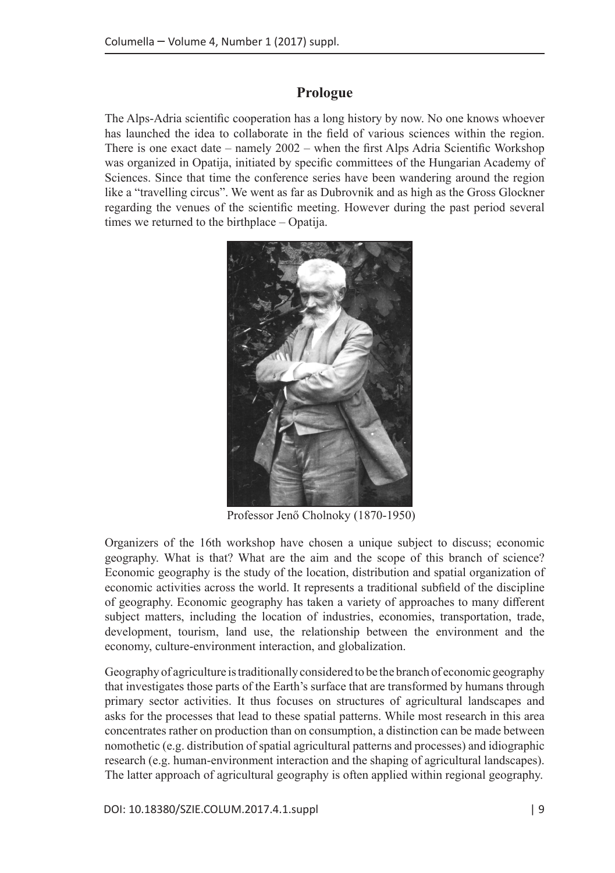## **Prologue**

The Alps-Adria scientific cooperation has a long history by now. No one knows whoever has launched the idea to collaborate in the field of various sciences within the region. There is one exact date – namely 2002 – when the first Alps Adria Scientific Workshop was organized in Opatija, initiated by specific committees of the Hungarian Academy of Sciences. Since that time the conference series have been wandering around the region like a "travelling circus". We went as far as Dubrovnik and as high as the Gross Glockner regarding the venues of the scientific meeting. However during the past period several times we returned to the birthplace – Opatija.



Professor Jenő Cholnoky (1870-1950)

Organizers of the 16th workshop have chosen a unique subject to discuss; economic geography. What is that? What are the aim and the scope of this branch of science? Economic geography is the study of the location, distribution and spatial organization of economic activities across the world. It represents a traditional subfield of the discipline of geography. Economic geography has taken a variety of approaches to many different subject matters, including the location of industries, economies, transportation, trade, development, tourism, land use, the relationship between the environment and the economy, culture-environment interaction, and globalization.

Geography of agriculture is traditionally considered to be the branch of economic geography that investigates those parts of the Earth's surface that are transformed by humans through primary sector activities. It thus focuses on structures of agricultural landscapes and asks for the processes that lead to these spatial patterns. While most research in this area concentrates rather on production than on consumption, a distinction can be made between nomothetic (e.g. distribution of spatial agricultural patterns and processes) and idiographic research (e.g. human-environment interaction and the shaping of agricultural landscapes). The latter approach of agricultural geography is often applied within regional geography.